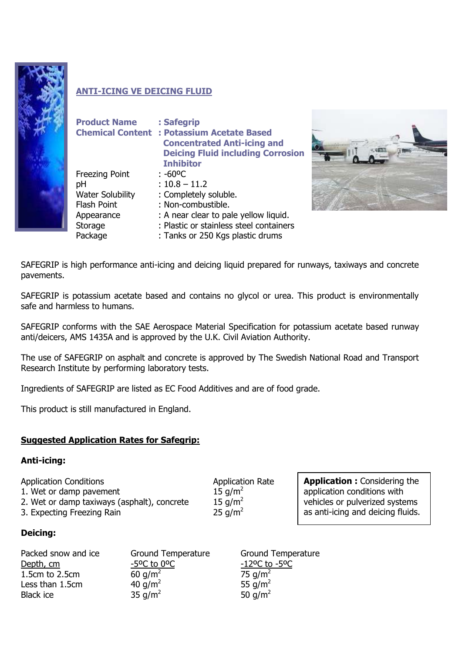

# **ANTI-ICING VE DEICING FLUID**

| <b>Product Name</b>     | : Safegrip<br><b>Chemical Content : Potassium Acetate Based</b><br><b>Concentrated Anti-icing and</b><br><b>Deicing Fluid including Corrosion</b> |
|-------------------------|---------------------------------------------------------------------------------------------------------------------------------------------------|
|                         | <b>Inhibitor</b>                                                                                                                                  |
| <b>Freezing Point</b>   | : -60°C                                                                                                                                           |
| рH                      | $: 10.8 - 11.2$                                                                                                                                   |
| <b>Water Solubility</b> | : Completely soluble.                                                                                                                             |
| <b>Flash Point</b>      | : Non-combustible.                                                                                                                                |
| Appearance              | : A near clear to pale yellow liquid.                                                                                                             |
| Storage                 | : Plastic or stainless steel containers                                                                                                           |
| Package                 | : Tanks or 250 Kgs plastic drums                                                                                                                  |



SAFEGRIP is high performance anti-icing and deicing liquid prepared for runways, taxiways and concrete pavements.

SAFEGRIP is potassium acetate based and contains no glycol or urea. This product is environmentally safe and harmless to humans.

SAFEGRIP conforms with the SAE Aerospace Material Specification for potassium acetate based runway anti/deicers, AMS 1435A and is approved by the U.K. Civil Aviation Authority.

The use of SAFEGRIP on asphalt and concrete is approved by The Swedish National Road and Transport Research Institute by performing laboratory tests.

Ingredients of SAFEGRIP are listed as EC Food Additives and are of food grade.

This product is still manufactured in England.

# **Suggested Application Rates for Safegrip:**

### **Anti-icing:**

Application Conditions **Application Rate** 

1. Wet or damp pavement 15 g/m<sup>2</sup> 2. Wet or damp taxiways (asphalt), concrete  $15 \text{ q/m}^2$ 

3. Expecting Freezing Rain 25 g/m<sup>2</sup>

**Deicing:**

| Packed snow and ice | <b>Ground Temperature</b>                 |
|---------------------|-------------------------------------------|
| Depth, cm           | $-5$ <sup>o</sup> C to $0$ <sup>o</sup> C |
| 1.5cm to 2.5cm      | 60 $q/m^2$                                |
| Less than 1.5cm     | 40 $q/m^2$                                |
| <b>Black ice</b>    | 35 g/m <sup>2</sup>                       |

**Application :** Considering the application conditions with vehicles or pulverized systems as anti-icing and deicing fluids.

Ground Temperature -12°C to -5°C 75  $q/m<sup>2</sup>$ 55  $g/m<sup>2</sup>$ 50  $q/m^2$